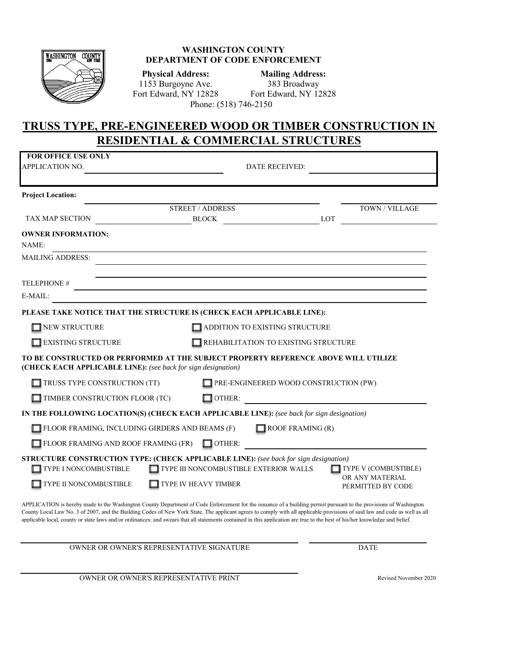

## **WASHINGTON COUNTY DEPARTMENT OF CODE ENFORCEMENT**

**Physical Address: Mailing Address:** 1153 Burgoyne Ave. 383 Broadway Fort Edward, NY 12828 Fort Edward, NY 12828 Phone: (518) 746-2150

## **TRUSS TYPE, PRE-ENGINEERED WOOD OR TIMBER CONSTRUCTION IN RESIDENTIAL & COMMERCIAL STRUCTURES**

| <b>FOR OFFICE USE ONLY</b><br><b>APPLICATION NO.</b>                                                                                                                                                                                                                                                                                           |  |                                       | <b>DATE RECEIVED:</b>                  |     |                                                              |
|------------------------------------------------------------------------------------------------------------------------------------------------------------------------------------------------------------------------------------------------------------------------------------------------------------------------------------------------|--|---------------------------------------|----------------------------------------|-----|--------------------------------------------------------------|
| <b>Project Location:</b>                                                                                                                                                                                                                                                                                                                       |  |                                       |                                        |     |                                                              |
|                                                                                                                                                                                                                                                                                                                                                |  | <b>STREET / ADDRESS</b>               |                                        |     | TOWN / VILLAGE                                               |
| TAX MAP SECTION                                                                                                                                                                                                                                                                                                                                |  | <b>BLOCK</b>                          |                                        | LOT |                                                              |
| <b>OWNER INFORMATION:</b><br>NAME:                                                                                                                                                                                                                                                                                                             |  |                                       |                                        |     |                                                              |
| <b>MAILING ADDRESS:</b>                                                                                                                                                                                                                                                                                                                        |  |                                       |                                        |     |                                                              |
| <b>TELEPHONE#</b>                                                                                                                                                                                                                                                                                                                              |  |                                       |                                        |     |                                                              |
| E-MAIL:                                                                                                                                                                                                                                                                                                                                        |  |                                       |                                        |     |                                                              |
| PLEASE TAKE NOTICE THAT THE STRUCTURE IS (CHECK EACH APPLICABLE LINE):                                                                                                                                                                                                                                                                         |  |                                       |                                        |     |                                                              |
| <b>NEW STRUCTURE</b>                                                                                                                                                                                                                                                                                                                           |  |                                       | ADDITION TO EXISTING STRUCTURE         |     |                                                              |
| <b>EXISTING STRUCTURE</b>                                                                                                                                                                                                                                                                                                                      |  |                                       | REHABILITATION TO EXISTING STRUCTURE   |     |                                                              |
| TO BE CONSTRUCTED OR PERFORMED AT THE SUBJECT PROPERTY REFERENCE ABOVE WILL UTILIZE<br>(CHECK EACH APPLICABLE LINE): (see back for sign designation)                                                                                                                                                                                           |  |                                       |                                        |     |                                                              |
| TRUSS TYPE CONSTRUCTION (TT)                                                                                                                                                                                                                                                                                                                   |  | PRE-ENGINEERED WOOD CONSTRUCTION (PW) |                                        |     |                                                              |
| TIMBER CONSTRUCTION FLOOR (TC)                                                                                                                                                                                                                                                                                                                 |  | $\Box$ OTHER:                         |                                        |     |                                                              |
| IN THE FOLLOWING LOCATION(S) (CHECK EACH APPLICABLE LINE): (see back for sign designation)                                                                                                                                                                                                                                                     |  |                                       |                                        |     |                                                              |
| FLOOR FRAMING, INCLUDING GIRDERS AND BEAMS (F)                                                                                                                                                                                                                                                                                                 |  |                                       | $\Box$ ROOF FRAMING (R)                |     |                                                              |
| FLOOR FRAMING AND ROOF FRAMING (FR)                                                                                                                                                                                                                                                                                                            |  | $\Box$ OTHER:                         |                                        |     |                                                              |
| <b>STRUCTURE CONSTRUCTION TYPE: (CHECK APPLICABLE LINE):</b> (see back for sign designation)<br>TYPE I NONCOMBUSTIBLE<br>TYPE II NONCOMBUSTIBLE                                                                                                                                                                                                |  | <b>TYPE IV HEAVY TIMBER</b>           | TYPE III NONCOMBUSTIBLE EXTERIOR WALLS |     | TYPE V (COMBUSTIBLE)<br>OR ANY MATERIAL<br>PERMITTED BY CODE |
| APPLICATION is hereby made to the Washington County Department of Code Enforcement for the issuance of a building permit pursuant to the provisions of Washington<br>County Local Law No. 3 of 2007, and the Building Codes of New York State. The annicant agrees to comply with all annicable provisions of said law and code as well as all |  |                                       |                                        |     |                                                              |

County Local Law No. 3 of 2007, and the Building Codes of New York State. The applicant agrees to comply with all applicable provisions of said law and code as well as all applicable local, county or state laws and/or ordinances: and swears that all statements contained in this application are true to the best of his/her knowledge and belief.

OWNER OR OWNER'S REPRESENTATIVE SIGNATURE DATE

OWNER OR OWNER'S REPRESENTATIVE PRINT FOR THE REVISED REVISEd November 2020